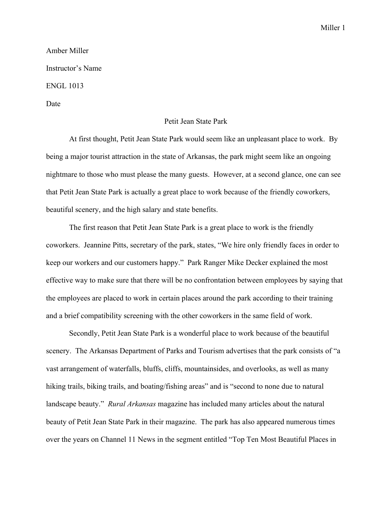## Miller 1

## Amber Miller Instructor's Name ENGL 1013 Date

## Petit Jean State Park

At first thought, Petit Jean State Park would seem like an unpleasant place to work. By being a major tourist attraction in the state of Arkansas, the park might seem like an ongoing nightmare to those who must please the many guests. However, at a second glance, one can see that Petit Jean State Park is actually a great place to work because of the friendly coworkers, beautiful scenery, and the high salary and state benefits.

The first reason that Petit Jean State Park is a great place to work is the friendly coworkers. Jeannine Pitts, secretary of the park, states, "We hire only friendly faces in order to keep our workers and our customers happy." Park Ranger Mike Decker explained the most effective way to make sure that there will be no confrontation between employees by saying that the employees are placed to work in certain places around the park according to their training and a brief compatibility screening with the other coworkers in the same field of work.

Secondly, Petit Jean State Park is a wonderful place to work because of the beautiful scenery. The Arkansas Department of Parks and Tourism advertises that the park consists of "a vast arrangement of waterfalls, bluffs, cliffs, mountainsides, and overlooks, as well as many hiking trails, biking trails, and boating/fishing areas" and is "second to none due to natural landscape beauty." *Rural Arkansas* magazine has included many articles about the natural beauty of Petit Jean State Park in their magazine. The park has also appeared numerous times over the years on Channel 11 News in the segment entitled "Top Ten Most Beautiful Places in